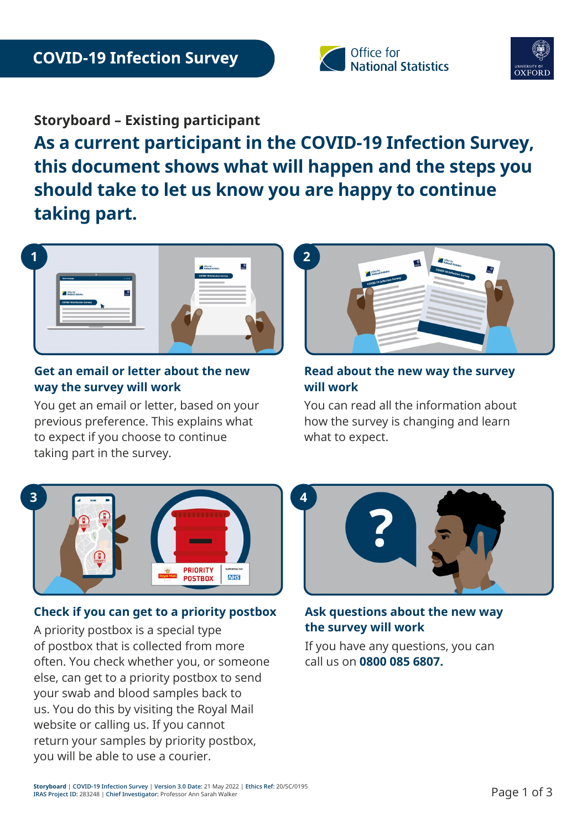



**Storyboard – Existing participant** 

**As a current participant in the COVID-19 Infection Survey, this document shows what will happen and the steps you should take to let us know you are happy to continue taking part.** 



### **Get an email or letter about the new way the survey will work**

You get an email or letter, based on your previous preference. This explains what to expect if you choose to continue taking part in the survey.



### **Read about the new way the survey will work**

You can read all the information about how the survey is changing and learn what to expect.



# **Check if you can get to a priority postbox**

A priority postbox is a special type of postbox that is collected from more often. You check whether you, or someone else, can get to a priority postbox to send your swab and blood samples back to us. You do this by visiting the Royal Mail website or calling us. If you cannot return your samples by priority postbox, you will be able to use a courier.



**Ask questions about the new way the survey will work**

If you have any questions, you can call us on **0800 085 6807.**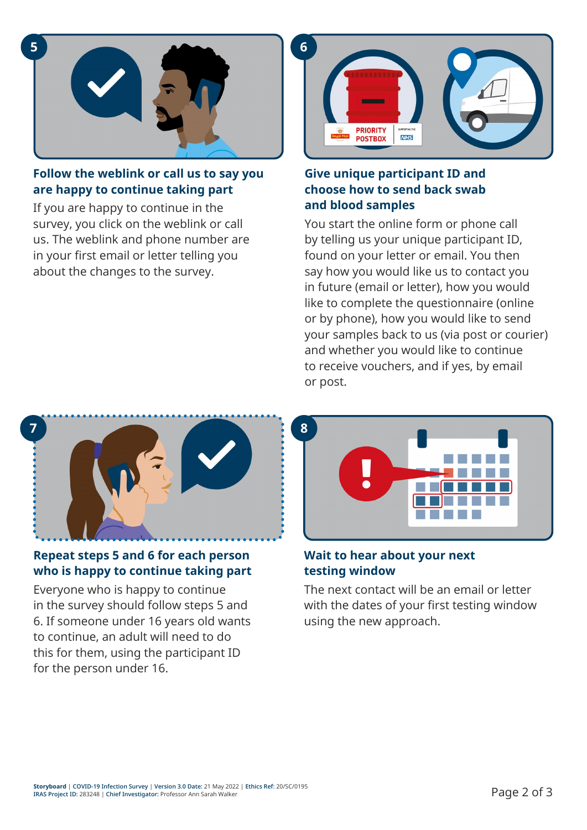

### **Follow the weblink or call us to say you are happy to continue taking part**

If you are happy to continue in the survey, you click on the weblink or call us. The weblink and phone number are in your first email or letter telling you about the changes to the survey.



## **Give unique participant ID and choose how to send back swab and blood samples**

You start the online form or phone call by telling us your unique participant ID, found on your letter or email. You then say how you would like us to contact you in future (email or letter), how you would like to complete the questionnaire (online or by phone), how you would like to send your samples back to us (via post or courier) and whether you would like to continue to receive vouchers, and if yes, by email or post.



# **Repeat steps 5 and 6 for each person who is happy to continue taking part**

Everyone who is happy to continue in the survey should follow steps 5 and 6. If someone under 16 years old wants to continue, an adult will need to do this for them, using the participant ID for the person under 16.



### **Wait to hear about your next testing window**

The next contact will be an email or letter with the dates of your first testing window using the new approach.